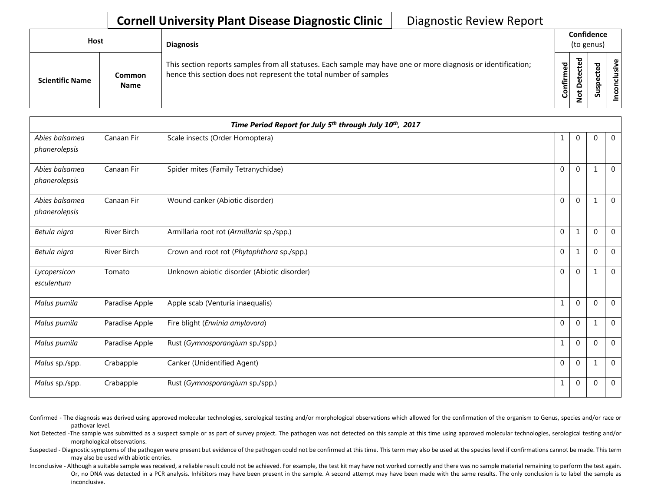## **Cornell University Plant Disease Diagnostic Clinic** | Diagnostic Review Report

| Host                   |                              | <b>Diagnosis</b>                                                                                                                                                                   |           | Confidence<br>(to genus)           |             |       |  |  |
|------------------------|------------------------------|------------------------------------------------------------------------------------------------------------------------------------------------------------------------------------|-----------|------------------------------------|-------------|-------|--|--|
| <b>Scientific Name</b> | <b>Common</b><br><b>Name</b> | This section reports samples from all statuses. Each sample may have one or more diagnosis or identification;<br>hence this section does not represent the total number of samples | Confirmed | ъ<br>ں<br>$\Omega$<br>پ<br>$\circ$ | ਠ<br>S<br>n | ∟ ہے. |  |  |

|                                 |                    | Time Period Report for July 5 <sup>th</sup> through July 10 <sup>th</sup> , 2017 |              |              |              |                |
|---------------------------------|--------------------|----------------------------------------------------------------------------------|--------------|--------------|--------------|----------------|
| Abies balsamea<br>phanerolepsis | Canaan Fir         | Scale insects (Order Homoptera)                                                  | 1            | $\mathbf{0}$ | $\mathbf 0$  | $\overline{0}$ |
| Abies balsamea<br>phanerolepsis | Canaan Fir         | Spider mites (Family Tetranychidae)                                              | $\mathbf{0}$ | $\mathbf{0}$ | 1            | $\mathbf 0$    |
| Abies balsamea<br>phanerolepsis | Canaan Fir         | Wound canker (Abiotic disorder)                                                  | $\mathbf{0}$ | $\mathbf{0}$ |              | $\overline{0}$ |
| Betula nigra                    | <b>River Birch</b> | Armillaria root rot (Armillaria sp./spp.)                                        | $\mathbf{0}$ | 1            | $\Omega$     | $\overline{0}$ |
| Betula nigra                    | River Birch        | Crown and root rot (Phytophthora sp./spp.)                                       | $\mathbf 0$  | $\mathbf{1}$ | $\Omega$     | $\overline{0}$ |
| Lycopersicon<br>esculentum      | Tomato             | Unknown abiotic disorder (Abiotic disorder)                                      | $\mathbf 0$  | $\mathbf 0$  | 1            | $\mathbf 0$    |
| Malus pumila                    | Paradise Apple     | Apple scab (Venturia inaequalis)                                                 | $\mathbf{1}$ | $\mathbf 0$  | $\Omega$     | $\mathbf 0$    |
| Malus pumila                    | Paradise Apple     | Fire blight (Erwinia amylovora)                                                  | $\mathbf{0}$ | $\mathbf{0}$ | $\mathbf{1}$ | $\mathbf 0$    |
| Malus pumila                    | Paradise Apple     | Rust (Gymnosporangium sp./spp.)                                                  | 1            | $\Omega$     | $\Omega$     | $\mathbf 0$    |
| Malus sp./spp.                  | Crabapple          | Canker (Unidentified Agent)                                                      | $\mathbf 0$  | $\mathbf 0$  | 1            | $\overline{0}$ |
| Malus sp./spp.                  | Crabapple          | Rust (Gymnosporangium sp./spp.)                                                  | $\mathbf{1}$ | $\mathbf{0}$ | $\mathbf{0}$ | $\overline{0}$ |

Confirmed - The diagnosis was derived using approved molecular technologies, serological testing and/or morphological observations which allowed for the confirmation of the organism to Genus, species and/or race or pathovar level.

Not Detected -The sample was submitted as a suspect sample or as part of survey project. The pathogen was not detected on this sample at this time using approved molecular technologies, serological testing and/or morphological observations.

Suspected - Diagnostic symptoms of the pathogen were present but evidence of the pathogen could not be confirmed at this time. This term may also be used at the species level if confirmations cannot be made. This term may also be used with abiotic entries.

Inconclusive - Although a suitable sample was received, a reliable result could not be achieved. For example, the test kit may have not worked correctly and there was no sample material remaining to perform the test again. Or, no DNA was detected in a PCR analysis. Inhibitors may have been present in the sample. A second attempt may have been made with the same results. The only conclusion is to label the sample as inconclusive.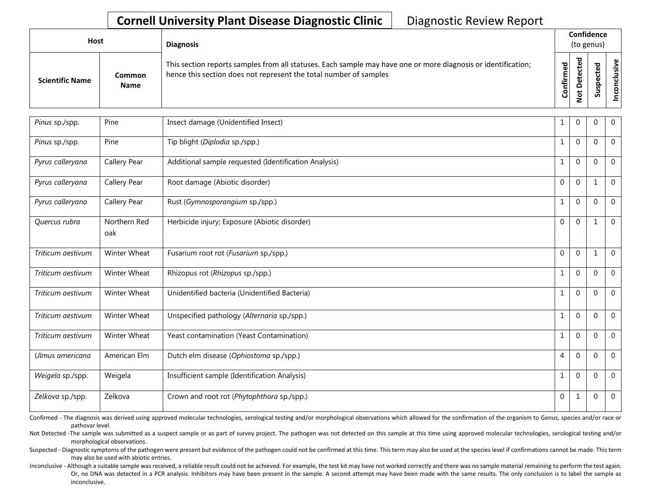## **Cornell University Plant Disease Diagnostic Clinic** | Diagnostic Review Report

| Host                   |                       | <b>Diagnosis</b>                                                                                                                                                                   |                   |   | <b>Confidence</b><br>(to genus) |                      |
|------------------------|-----------------------|------------------------------------------------------------------------------------------------------------------------------------------------------------------------------------|-------------------|---|---------------------------------|----------------------|
| <b>Scientific Name</b> | Common<br><b>Name</b> | This section reports samples from all statuses. Each sample may have one or more diagnosis or identification;<br>hence this section does not represent the total number of samples | ᇃ<br>ω<br>Confirm | ъ | Ū                               | usive<br>$rac{1}{2}$ |

| Pinus sp./spp.    | Pine                | Insect damage (Unidentified Insect)                   | 1            | $\mathbf 0$    | $\Omega$    | $\mathbf 0$    |
|-------------------|---------------------|-------------------------------------------------------|--------------|----------------|-------------|----------------|
| Pinus sp./spp.    | Pine                | Tip blight (Diplodia sp./spp.)                        | 1            | $\mathbf{0}$   | $\Omega$    | $\overline{0}$ |
| Pyrus calleryana  | Callery Pear        | Additional sample requested (Identification Analysis) | 1            | $\overline{0}$ | $\Omega$    | $\overline{0}$ |
| Pyrus calleryana  | Callery Pear        | Root damage (Abiotic disorder)                        | $\mathbf{0}$ | $\Omega$       | 1           | $\mathbf 0$    |
| Pyrus calleryana  | Callery Pear        | Rust (Gymnosporangium sp./spp.)                       | $\mathbf{1}$ | $\Omega$       | $\Omega$    | $\mathbf 0$    |
| Quercus rubra     | Northern Red<br>oak | Herbicide injury; Exposure (Abiotic disorder)         | $\mathbf 0$  | $\mathbf 0$    | 1           | $\overline{0}$ |
| Triticum aestivum | Winter Wheat        | Fusarium root rot (Fusarium sp./spp.)                 | $\mathbf 0$  | $\mathbf 0$    | 1           | $\overline{0}$ |
| Triticum aestivum | Winter Wheat        | Rhizopus rot (Rhizopus sp./spp.)                      | 1            | $\Omega$       | $\Omega$    | $\Omega$       |
| Triticum aestivum | Winter Wheat        | Unidentified bacteria (Unidentified Bacteria)         | $\mathbf{1}$ | $\mathbf 0$    | $\Omega$    | $\mathbf 0$    |
| Triticum aestivum | Winter Wheat        | Unspecified pathology (Alternaria sp./spp.)           | 1            | $\mathbf{0}$   | $\Omega$    | $\mathbf 0$    |
| Triticum aestivum | Winter Wheat        | Yeast contamination (Yeast Contamination)             | $\mathbf{1}$ | $\mathbf{0}$   | $\Omega$    | $\overline{0}$ |
| Ulmus americana   | American Elm        | Dutch elm disease (Ophiostoma sp./spp.)               | 4            | $\mathbf 0$    | $\Omega$    | $\overline{0}$ |
| Weigela sp./spp.  | Weigela             | Insufficient sample (Identification Analysis)         | $\mathbf{1}$ | $\mathbf 0$    | $\Omega$    | $\mathbf 0$    |
| Zelkova sp./spp.  | Zelkova             | Crown and root rot (Phytophthora sp./spp.)            | $\mathbf 0$  | 1              | $\mathbf 0$ | $\mathbf 0$    |

Confirmed - The diagnosis was derived using approved molecular technologies, serological testing and/or morphological observations which allowed for the confirmation of the organism to Genus, species and/or race or pathovar level.

Not Detected -The sample was submitted as a suspect sample or as part of survey project. The pathogen was not detected on this sample at this time using approved molecular technologies, serological testing and/or morphological observations.

Suspected - Diagnostic symptoms of the pathogen were present but evidence of the pathogen could not be confirmed at this time. This term may also be used at the species level if confirmations cannot be made. This term may also be used with abiotic entries.

Inconclusive - Although a suitable sample was received, a reliable result could not be achieved. For example, the test kit may have not worked correctly and there was no sample material remaining to perform the test again. Or, no DNA was detected in a PCR analysis. Inhibitors may have been present in the sample. A second attempt may have been made with the same results. The only conclusion is to label the sample as inconclusive.